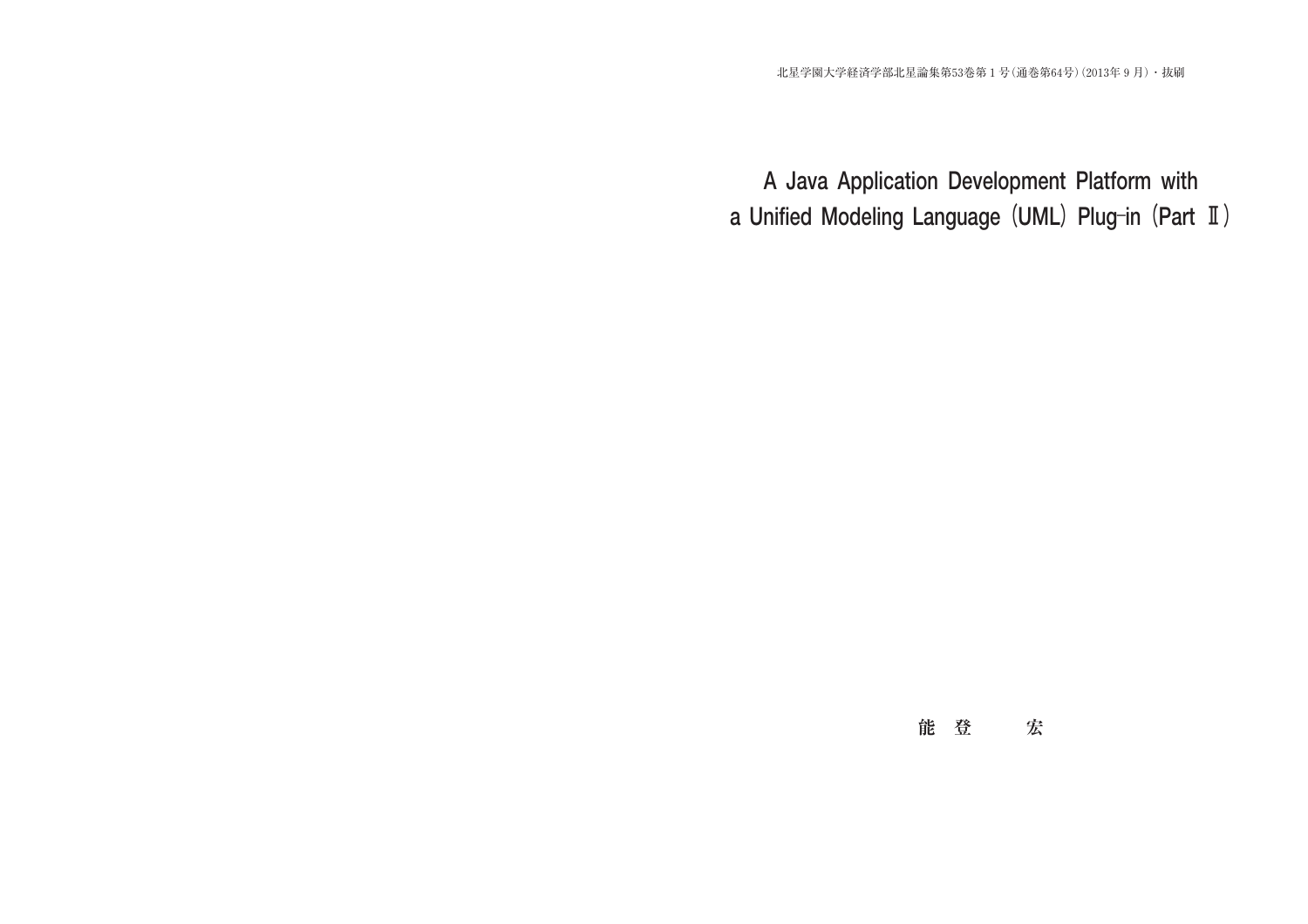# **能登 宏**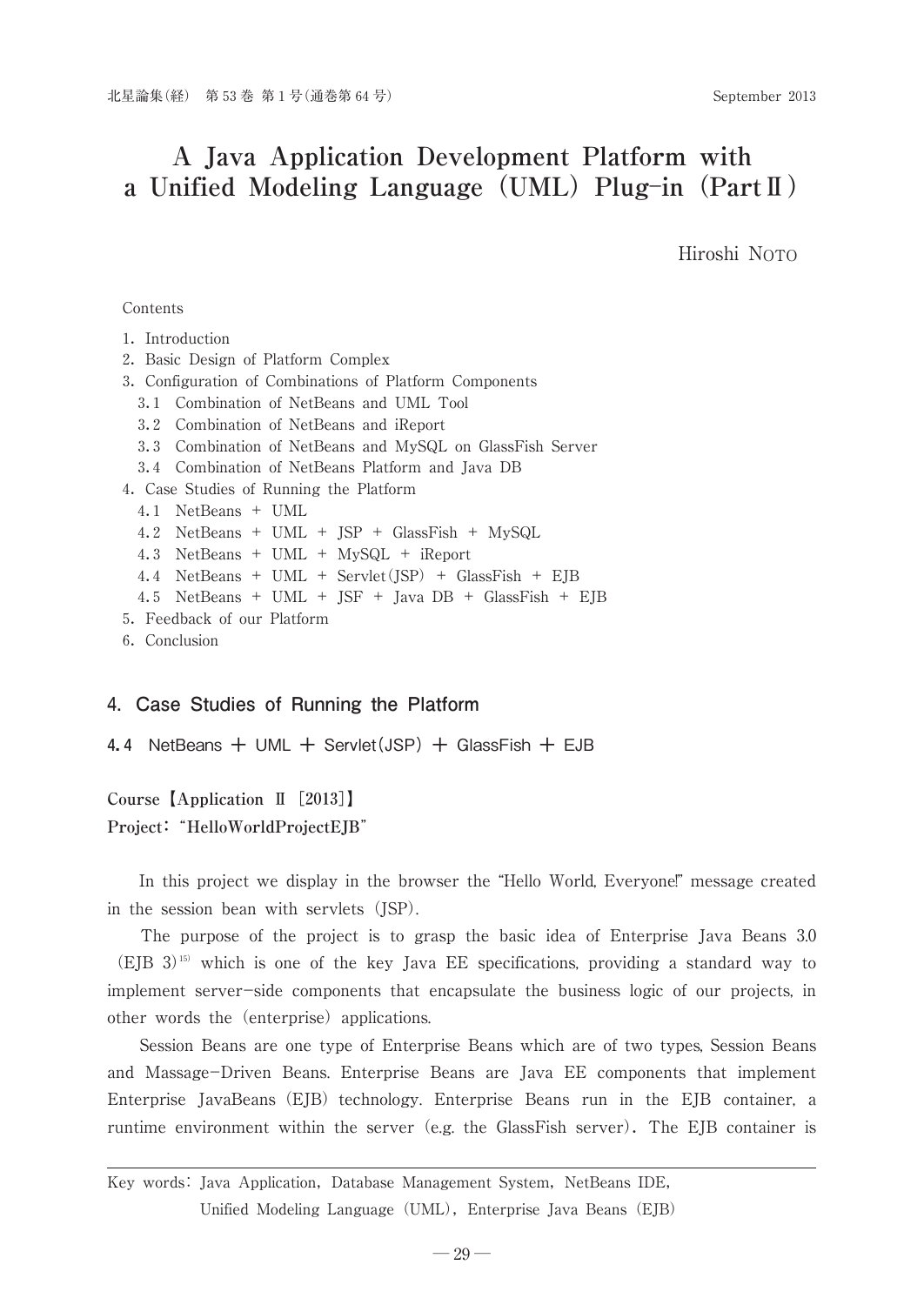Hiroshi NOTO

Contents

|  | Introduction |
|--|--------------|
|  |              |

- 2.Basic Design of Platform Complex
- 3.Configuration of Combinations of Platform Components
	- 3.1 Combination of NetBeans and UML Tool
	- 3.2 Combination of NetBeans and iReport
	- 3.3 Combination of NetBeans and MySQL on GlassFish Server
	- 3.4 Combination of NetBeans Platform and Java DB
- 4.Case Studies of Running the Platform

```
4.1 NetBeans + UML
```
- 4.2 NetBeans + UML + JSP + GlassFish + MySQL
- 4.3 NetBeans + UML + MySQL + iReport
- 4.4 NetBeans + UML + Servlet(JSP)+ GlassFish + EJB
- 4.5 NetBeans + UML + JSF + Java DB + GlassFish + EJB
- 5.Feedback of our Platform
- 6.Conclusion

### -Case Studies of Running the Platform

```
4.4 NetBeans + UML + Servlet(JSP)+ GlassFish + EJB
```
**Course [Application II [2013] Project:**"**HelloWorldProjectEJB**"

In this project we display in the browser the "Hello World, Everyone!" message created in the session bean with servlets (JSP).

The purpose of the project is to grasp the basic idea of Enterprise Java Beans 3.0 (EJB 3)15) which is one of the key Java EE specifications, providing a standard way to implement server-side components that encapsulate the business logic of our projects, in other words the (enterprise) applications.

Session Beans are one type of Enterprise Beans which are of two types, Session Beans and Massage-Driven Beans. Enterprise Beans are Java EE components that implement Enterprise JavaBeans  $(E|B)$  technology. Enterprise Beans run in the  $E|B$  container, a runtime environment within the server (e.g. the GlassFish server). The EJB container is

Key words: Java Application, Database Management System, NetBeans IDE, Unified Modeling Language (UML), Enterprise Java Beans (EJB)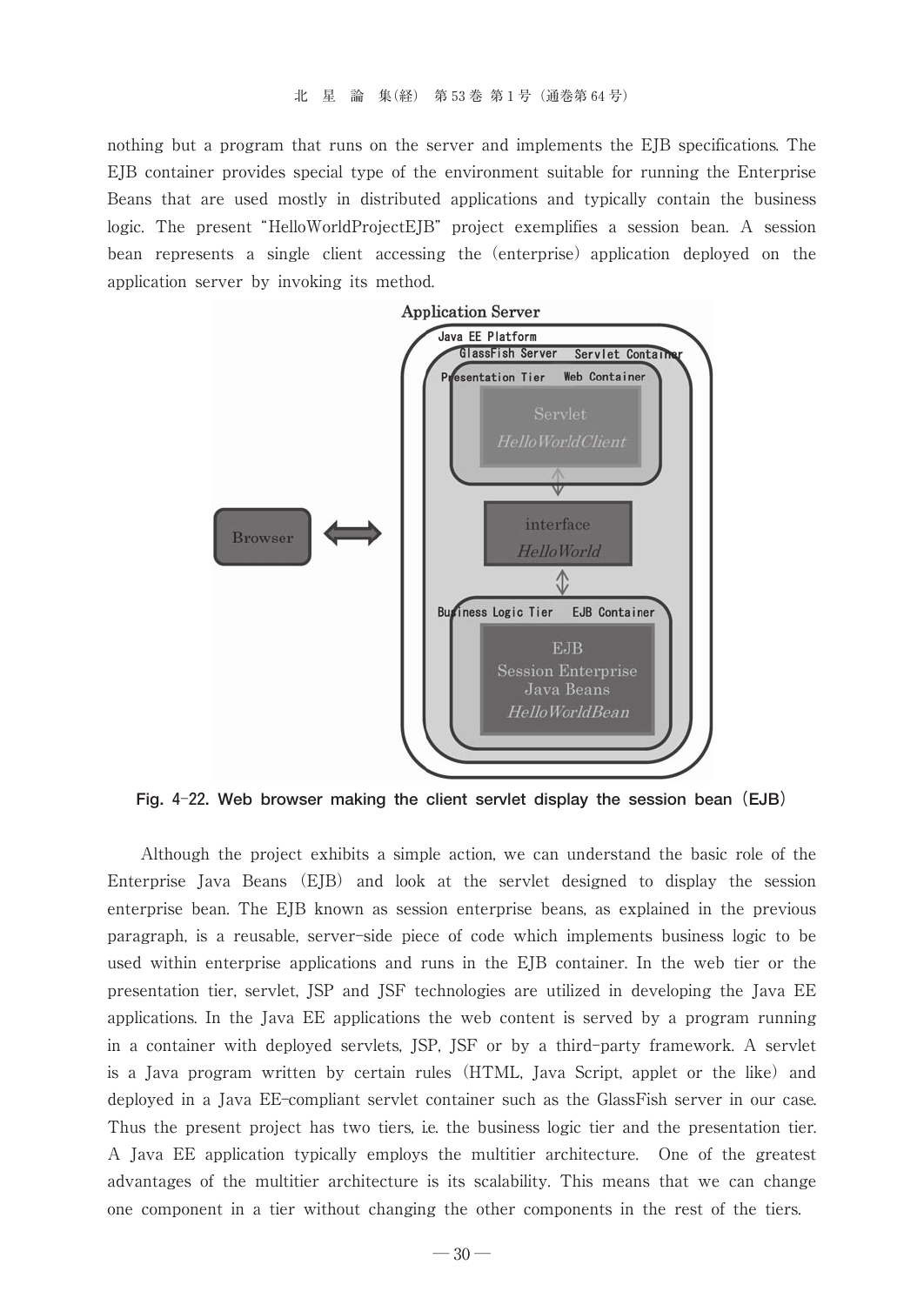nothing but a program that runs on the server and implements the EJB specifications. The EJB container provides special type of the environment suitable for running the Enterprise Beans that are used mostly in distributed applications and typically contain the business logic. The present "HelloWorldProjectEJB" project exemplifies a session bean. A session bean represents a single client accessing the (enterprise) application deployed on the application server by invoking its method.



**Fig. 4**-**22. Web browser making the client servlet display the session bean(EJB)**

Although the project exhibits a simple action, we can understand the basic role of the Enterprise Java Beans (EJB) and look at the servlet designed to display the session enterprise bean. The EJB known as session enterprise beans, as explained in the previous paragraph, is a reusable, server-side piece of code which implements business logic to be used within enterprise applications and runs in the EJB container. In the web tier or the presentation tier, servlet, JSP and JSF technologies are utilized in developing the Java EE applications. In the Java EE applications the web content is served by a program running in a container with deployed servlets, JSP, JSF or by a third-party framework. A servlet is a Java program written by certain rules (HTML, Java Script, applet or the like) and deployed in a Java EE-compliant servlet container such as the GlassFish server in our case. Thus the present project has two tiers, i.e. the business logic tier and the presentation tier. A Java EE application typically employs the multitier architecture. One of the greatest advantages of the multitier architecture is its scalability. This means that we can change one component in a tier without changing the other components in the rest of the tiers.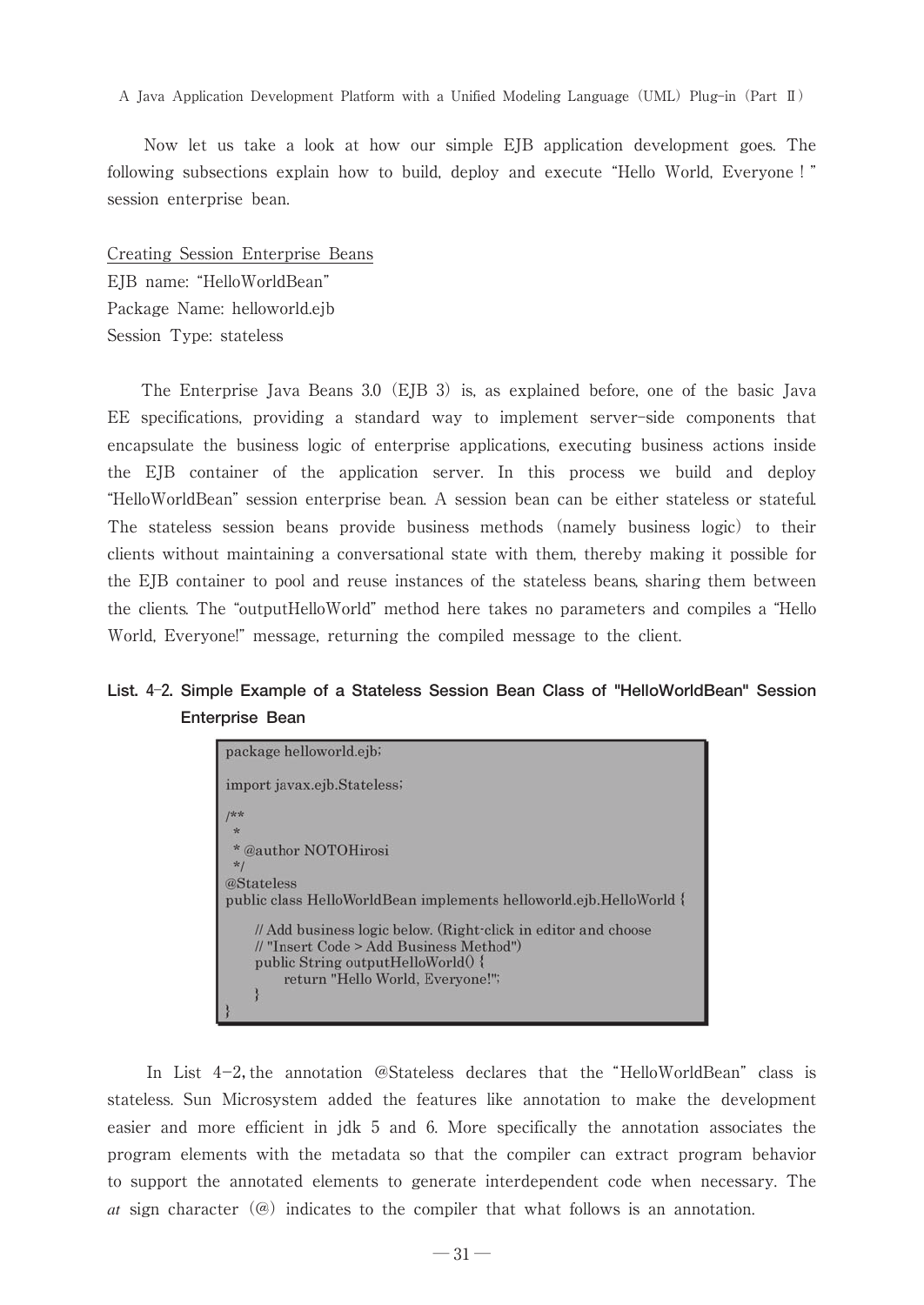Now let us take a look at how our simple EJB application development goes. The following subsections explain how to build, deploy and execute "Hello World, Everyone !" session enterprise bean.

Creating Session Enterprise Beans EJB name: "HelloWorldBean" Package Name: helloworld.ejb Session Type: stateless

The Enterprise Java Beans 3.0 (EJB 3) is, as explained before, one of the basic Java EE specifications, providing a standard way to implement server-side components that encapsulate the business logic of enterprise applications, executing business actions inside the EJB container of the application server. In this process we build and deploy -HelloWorldBean session enterprise bean. A session bean can be either stateless or stateful. The stateless session beans provide business methods (namely business logic) to their clients without maintaining a conversational state with them, thereby making it possible for the EJB container to pool and reuse instances of the stateless beans, sharing them between the clients. The "outputHelloWorld" method here takes no parameters and compiles a "Hello World, Everyone!" message, returning the compiled message to the client.

## **List. 4**-**2. Simple Example of a Stateless Session Bean Class of "HelloWorldBean" Session Enterprise Bean**

| package helloworld.ejb;                                                                                                                                                             |
|-------------------------------------------------------------------------------------------------------------------------------------------------------------------------------------|
| import javax.ejb.Stateless;                                                                                                                                                         |
| パネ                                                                                                                                                                                  |
| 安                                                                                                                                                                                   |
| * @author NOTOHirosi<br>$*1$                                                                                                                                                        |
| @Stateless                                                                                                                                                                          |
| public class HelloWorldBean implements helloworld.ejb.HelloWorld {                                                                                                                  |
| // Add business logic below. (Right-click in editor and choose<br>// "Insert Code > Add Business Method")<br>public String outputHelloWorld() {<br>return "Hello World, Everyone!"; |
|                                                                                                                                                                                     |

In List  $4-2$ , the annotation @Stateless declares that the "HelloWorldBean" class is stateless. Sun Microsystem added the features like annotation to make the development easier and more efficient in jdk 5 and 6. More specifically the annotation associates the program elements with the metadata so that the compiler can extract program behavior to support the annotated elements to generate interdependent code when necessary. The *at* sign character  $(\omega)$  indicates to the compiler that what follows is an annotation.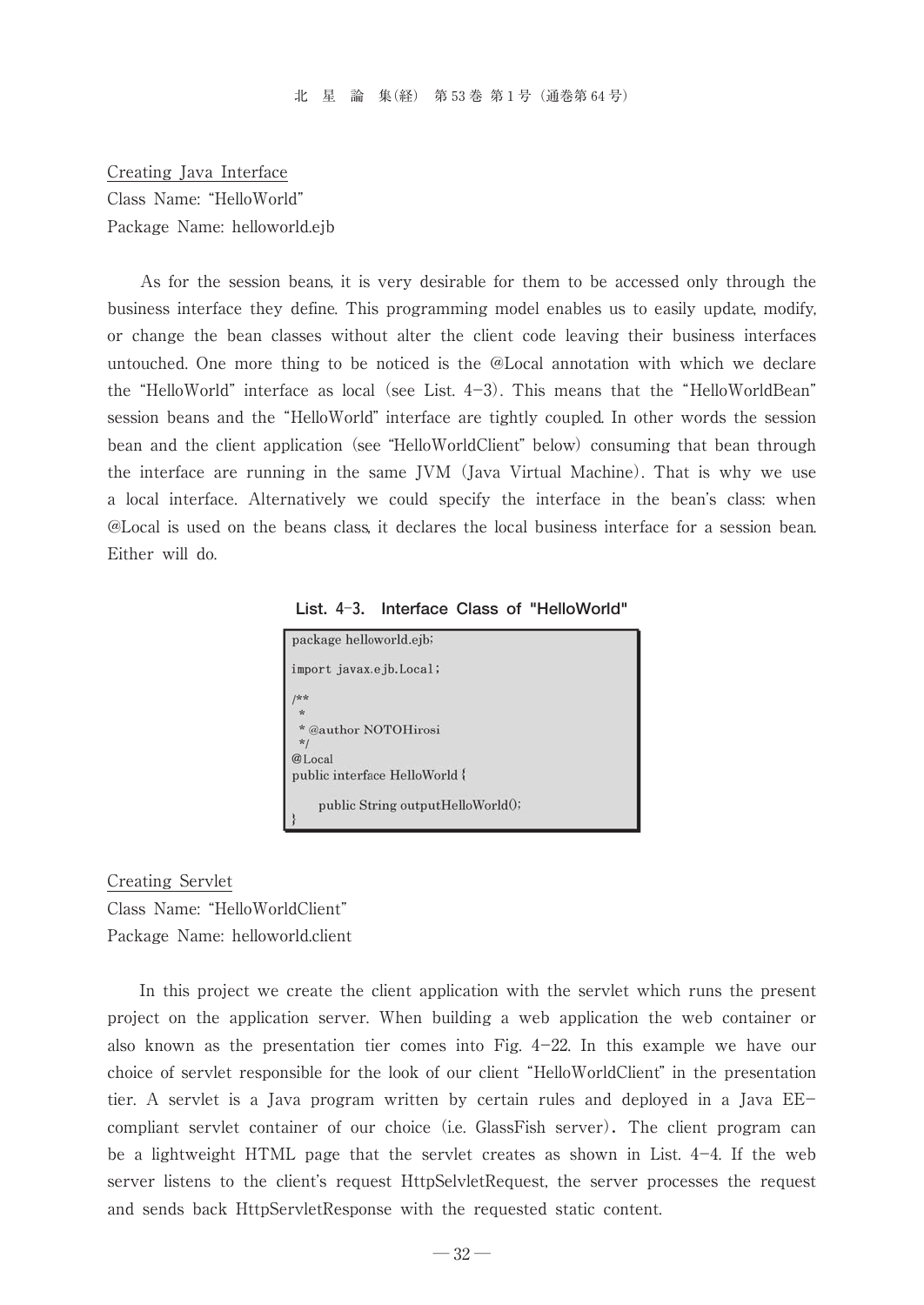Creating Java Interface Class Name: "HelloWorld" Package Name: helloworld.ejb

As for the session beans, it is very desirable for them to be accessed only through the business interface they define. This programming model enables us to easily update, modify, or change the bean classes without alter the client code leaving their business interfaces untouched. One more thing to be noticed is the @Local annotation with which we declare the "HelloWorld" interface as local (see List.  $4-3$ ). This means that the "HelloWorldBean" session beans and the "HelloWorld" interface are tightly coupled. In other words the session bean and the client application (see "HelloWorldClient" below) consuming that bean through the interface are running in the same JVM(Java Virtual Machine). That is why we use a local interface. Alternatively we could specify the interface in the bean's class: when @Local is used on the beans class, it declares the local business interface for a session bean. Either will do.

**List. 4**-**3. Interface Class of "HelloWorld"**



Creating Servlet Class Name: "HelloWorldClient"

Package Name: helloworld.client

In this project we create the client application with the servlet which runs the present project on the application server. When building a web application the web container or also known as the presentation tier comes into Fig.  $4-22$ . In this example we have our choice of servlet responsible for the look of our client "HelloWorldClient" in the presentation tier. A servlet is a Java program written by certain rules and deployed in a Java EE compliant servlet container of our choice (i.e. GlassFish server). The client program can be a lightweight HTML page that the servlet creates as shown in List.  $4-4$ . If the web server listens to the client's request HttpSelvletRequest, the server processes the request and sends back HttpServletResponse with the requested static content.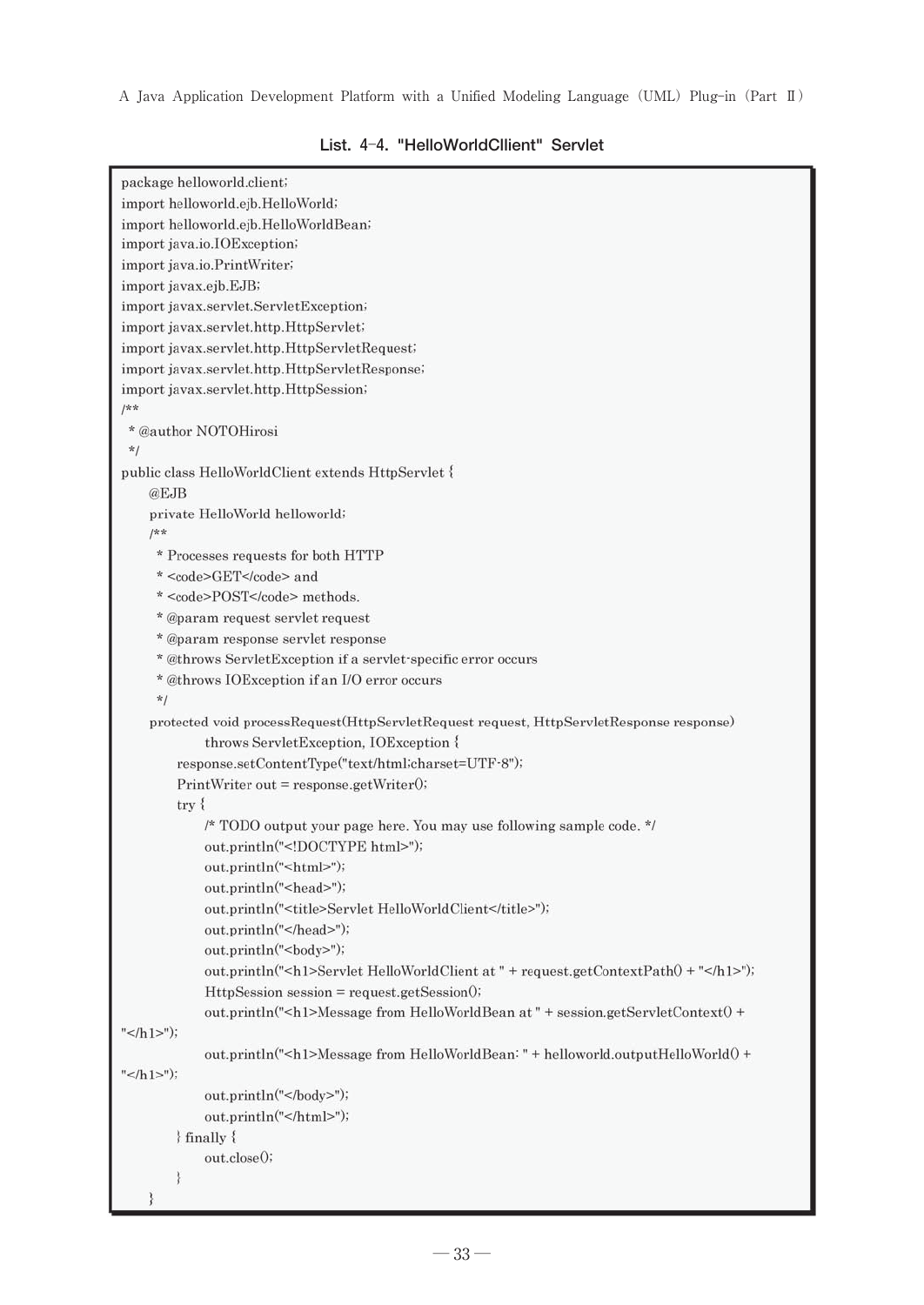```
package helloworld.client;
import helloworld.ejb.HelloWorld;
import helloworld.ejb.HelloWorldBean;
import java.io.IOException;
import java.io.PrintWriter;
import javax.ejb.EJB;
import javax.servlet.ServletException;
import javax.servlet.http.HttpServlet;
import javax.servlet.http.HttpServletRequest;
import javax.servlet.http.HttpServletResponse;
import javax.servlet.http.HttpSession;
/\kappa\pi* @author NOTOHirosi
 *1public class HelloWorldClient extends HttpServlet {
    @EJBprivate HelloWorld helloworld;
    /k** Processes requests for both HTTP
     * <code>GET</code> and
     * <code>POST</code> methods.
     * @param request servlet request
     * @param response servlet response
     * @throws ServletException if a servlet-specific error occurs
     * @throws IOException if an I/O error occurs
     \ast /
    protected void processRequest(HttpServletRequest request, HttpServletResponse response)
            throws ServletException, IOException {
        response.setContentType("text/html;charset=UTF-8");
        PrintWriter out = response.getWriter()try {
            /* TODO output your page here. You may use following sample code. */
            out.println("<!DOCTYPE html>");
            out.println("<html>");
            out.println("<head>");
            out.println("<title>Servlet HelloWorldClient</title>");
            out.println("</head>");
            out.println("<br/>body>");
            out.println("<h1>Servlet HelloWorldClient at " + request.getContextPath() + "</h1>");
            HttpSession session = request.getSession();
            out.println("<h1>Message from HelloWorldBean at " + session.getServletContext() +
" </h1>");
            out.println("<h1>Message from HelloWorldBean: " + helloworld.outputHelloWorld() +
"</h1>");
            out.println("</body>");
            out.println("</html>");
        } finally {
            out.close();
        ₹
```
#### **List. 4**-**4. "HelloWorldCllient" Servlet**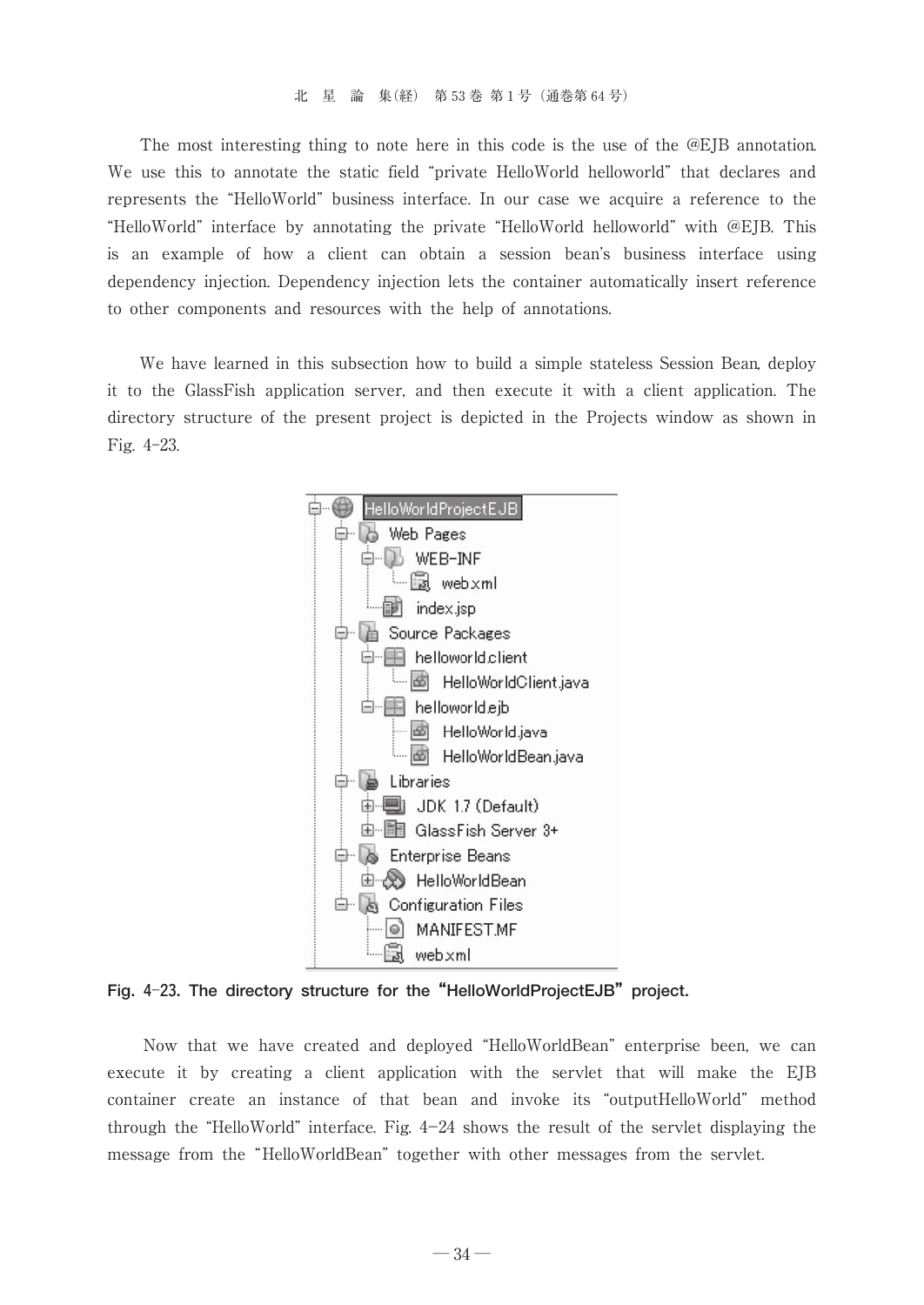The most interesting thing to note here in this code is the use of the @EJB annotation. We use this to annotate the static field "private HelloWorld helloworld" that declares and represents the "HelloWorld" business interface. In our case we acquire a reference to the "HelloWorld" interface by annotating the private "HelloWorld helloworld" with @EJB. This is an example of how a client can obtain a session bean's business interface using dependency injection. Dependency injection lets the container automatically insert reference to other components and resources with the help of annotations.

We have learned in this subsection how to build a simple stateless Session Bean, deploy it to the GlassFish application server, and then execute it with a client application. The directory structure of the present project is depicted in the Projects window as shown in Fig. 4-23.



**Fig. 4**-**23. The directory structure for the"HelloWorldProjectEJB"project.**

Now that we have created and deployed "HelloWorldBean" enterprise been, we can execute it by creating a client application with the servlet that will make the EJB container create an instance of that bean and invoke its "outputHelloWorld" method through the "HelloWorld" interface. Fig.  $4-24$  shows the result of the servlet displaying the message from the "HelloWorldBean" together with other messages from the servlet.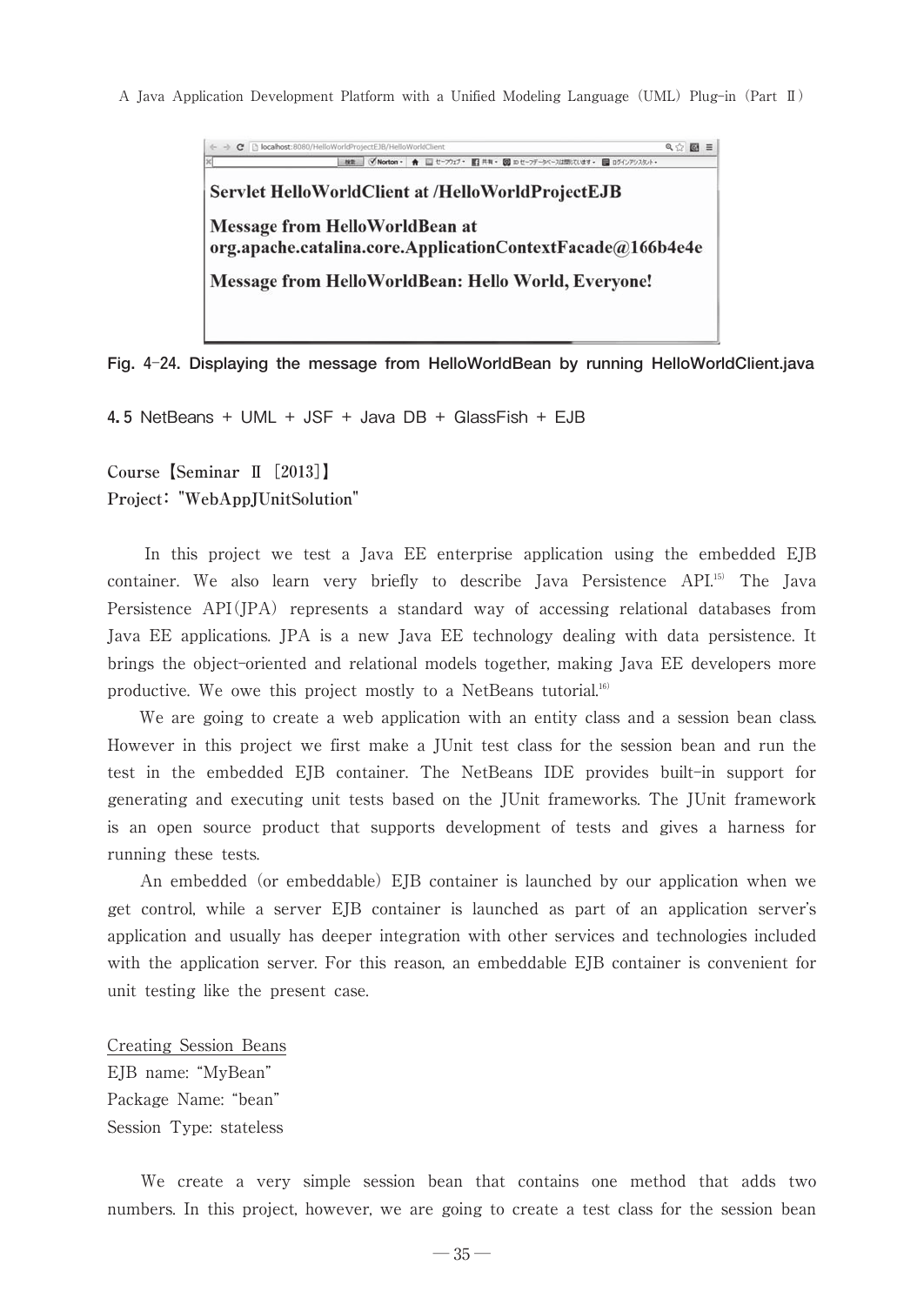Q☆ 圖 三 • ★ 回セーブカブ 四共年 図 ロセーフデータベースは問じています ■ ログインアシスタン Servlet HelloWorldClient at /HelloWorldProjectEJB **Message from HelloWorldBean at** org.apache.catalina.core.ApplicationContextFacade@166b4e4e Message from HelloWorldBean: Hello World, Everyone!

**Fig. 4**-**24. Displaying the message from HelloWorldBean by running HelloWorldClient.java**

**4.5** NetBeans + UML + JSF + Java DB + GlassFish + EJB

**Course【Seminar Ⅱ[2013]】 Project: "WebAppJUnitSolution"**

In this project we test a Java EE enterprise application using the embedded EJB container. We also learn very briefly to describe Java Persistence API.15) The Java Persistence  $API(JPA)$  represents a standard way of accessing relational databases from Java EE applications. JPA is a new Java EE technology dealing with data persistence. It brings the object-oriented and relational models together, making Java EE developers more productive. We owe this project mostly to a NetBeans tutorial.16)

We are going to create a web application with an entity class and a session bean class. However in this project we first make a JUnit test class for the session bean and run the test in the embedded EJB container. The NetBeans IDE provides built-in support for generating and executing unit tests based on the JUnit frameworks. The JUnit framework is an open source product that supports development of tests and gives a harness for running these tests.

An embedded (or embeddable) EJB container is launched by our application when we get control, while a server EJB container is launched as part of an application server's application and usually has deeper integration with other services and technologies included with the application server. For this reason, an embeddable EJB container is convenient for unit testing like the present case.

Creating Session Beans EJB name: "MyBean" Package Name: "bean" Session Type: stateless

We create a very simple session bean that contains one method that adds two numbers. In this project, however, we are going to create a test class for the session bean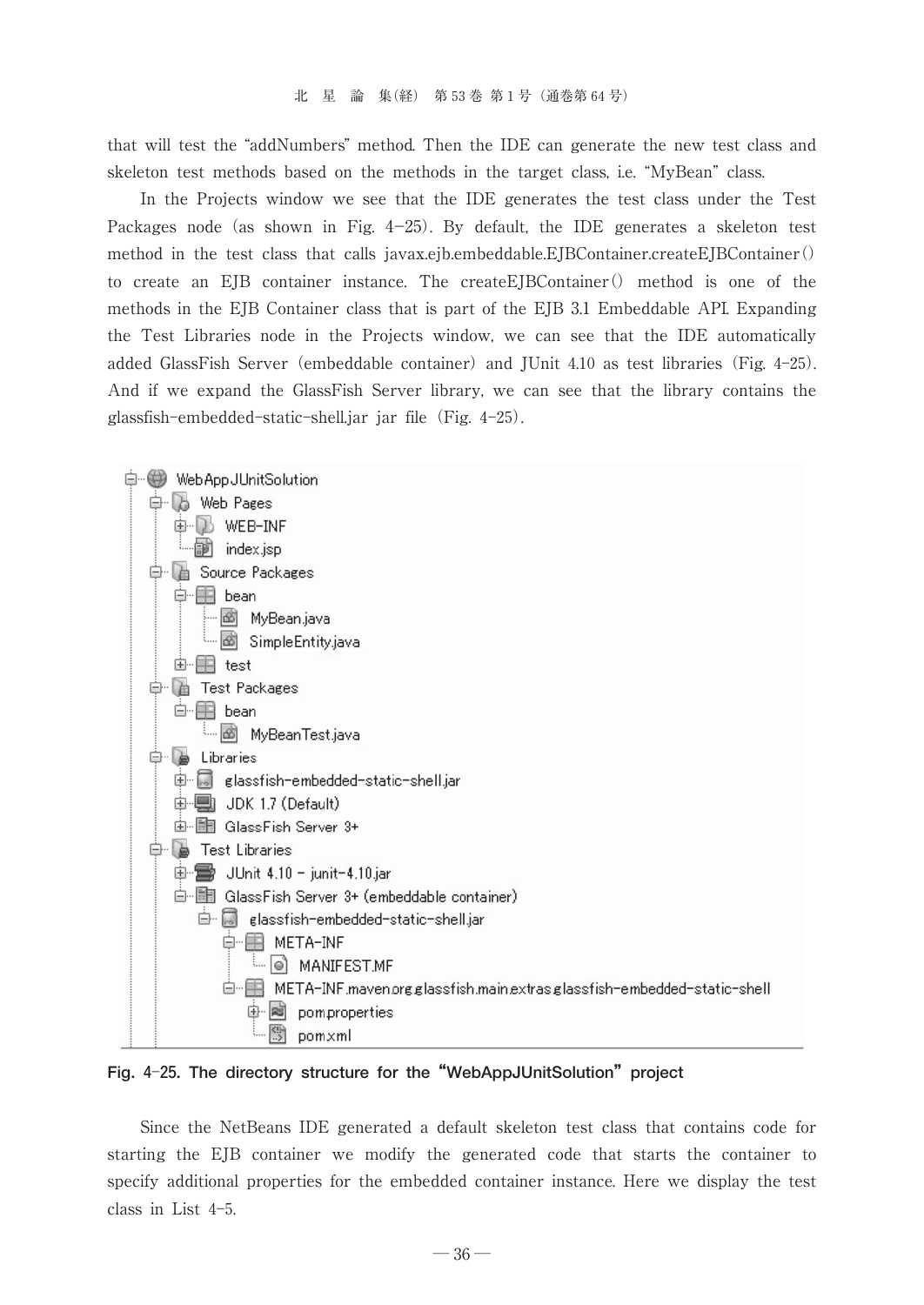that will test the "addNumbers" method. Then the IDE can generate the new test class and skeleton test methods based on the methods in the target class, i.e. "MyBean" class.

In the Projects window we see that the IDE generates the test class under the Test Packages node (as shown in Fig.  $4-25$ ). By default, the IDE generates a skeleton test method in the test class that calls javax.ejb.embeddable.EJBContainer.createEJBContainer() to create an EJB container instance. The createEJBContainer() method is one of the methods in the EJB Container class that is part of the EJB 3.1 Embeddable API. Expanding the Test Libraries node in the Projects window, we can see that the IDE automatically added GlassFish Server (embeddable container) and JUnit 4.10 as test libraries (Fig. 4-25). And if we expand the GlassFish Server library, we can see that the library contains the glassfish-embedded-static-shell.jar jar file(Fig. 4-25).



**Fig. 4**-**25. The directory structure for the"WebAppJUnitSolution"project**

Since the NetBeans IDE generated a default skeleton test class that contains code for starting the EJB container we modify the generated code that starts the container to specify additional properties for the embedded container instance. Here we display the test class in List 4-5.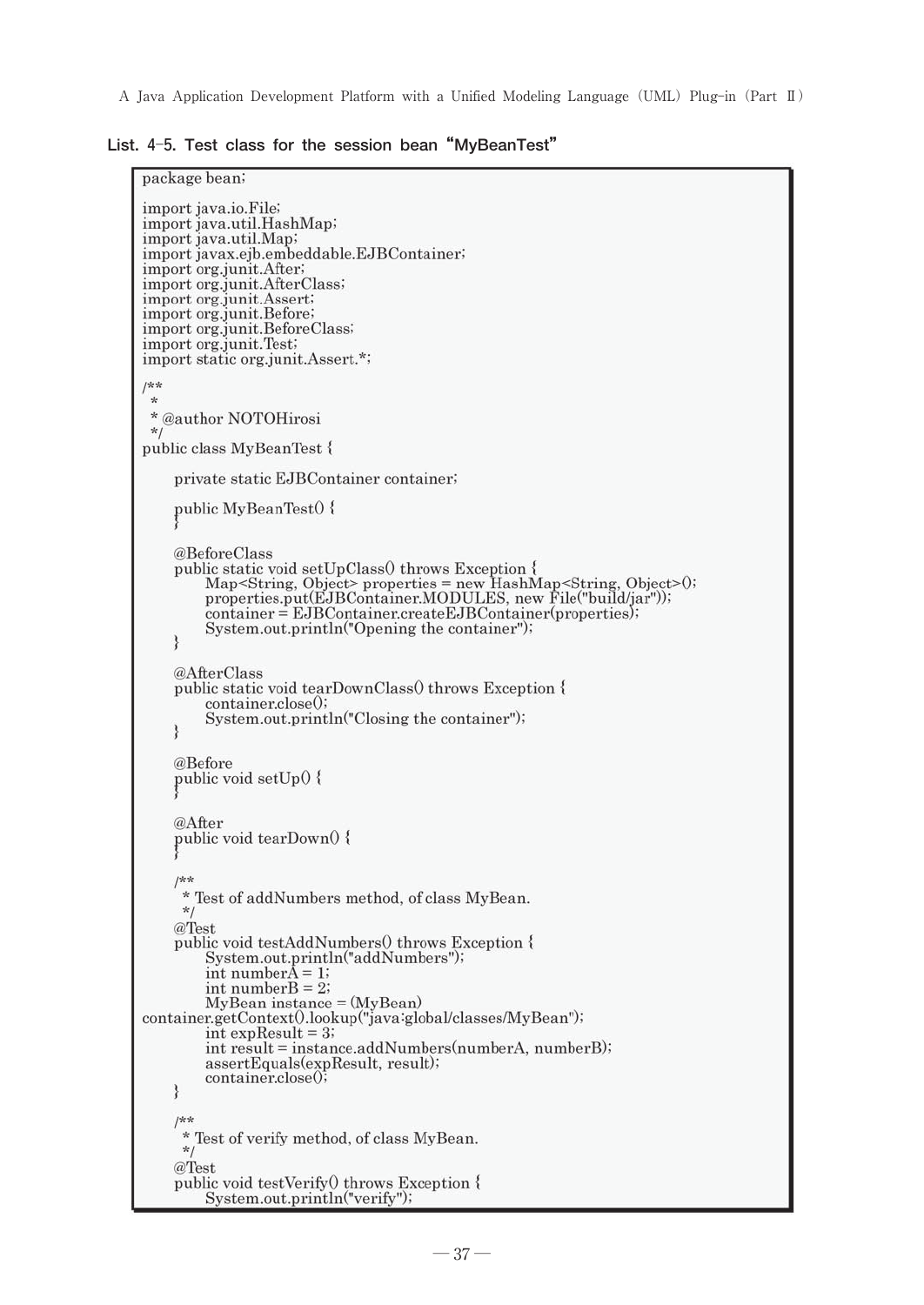**List. 4**-**5. Test class for the session bean"MyBeanTest"**

```
package bean;
import java.io.File;
import java.util.HashMap;
import java.util.Map;
import javax.ejb.embeddable.EJBContainer;
import org.junit.After.
import org.junit.AfterClass;
import org.junit.Assert;
import org.junit.Before;<br>import org.junit.BeforeClass;
import org.junit.Test;
import static org.junit.Assert.*;
j**
 * @author NOTOHirosi
 \starpublic class MyBeanTest {
    private static EJBContainer container;
    public MyBeanTest0 {
    @BeforeClass
    public static void setUpClass() throws Exception {
         Map<String, Object> properties = new HashMap<String, Object>0;<br>properties.put(EJBContainer.MODULES, new File("build/jar"));
         \overline{\text{container}} = \text{EJBC} \text{ontainer.} \text{create} \text{EJBC} \text{ontainer} (\text{properties})System.out.println("Opening the container");
    ₹
    @AfterClass
    public static void tearDownClass() throws Exception {
          container.close();
         System.out.println("Closing the container");
    @Before
    public void setUp() {
    @After
    public void tearDown0 {
    /**
      * Test of addNumbers method, of class MyBean.
     *@Test
    public void testAddNumbers() throws Exception {
         System.out.println("addNumbers");<br>int numberA = 1;
         int numberB = 2;
         MyBean instance = (MyBean)container.getContext0.lookup("java:global/classes/MyBean");
         int expResult = 3;
         int result = instance.addNumbers(numberA, numberB);
         assertEquals(expResult, result);
         container.close();
    3
     /**
      * Test of verify method, of class MyBean.
     *@Test
    public void testVerify() throws Exception {
         System.out.println("verify");
```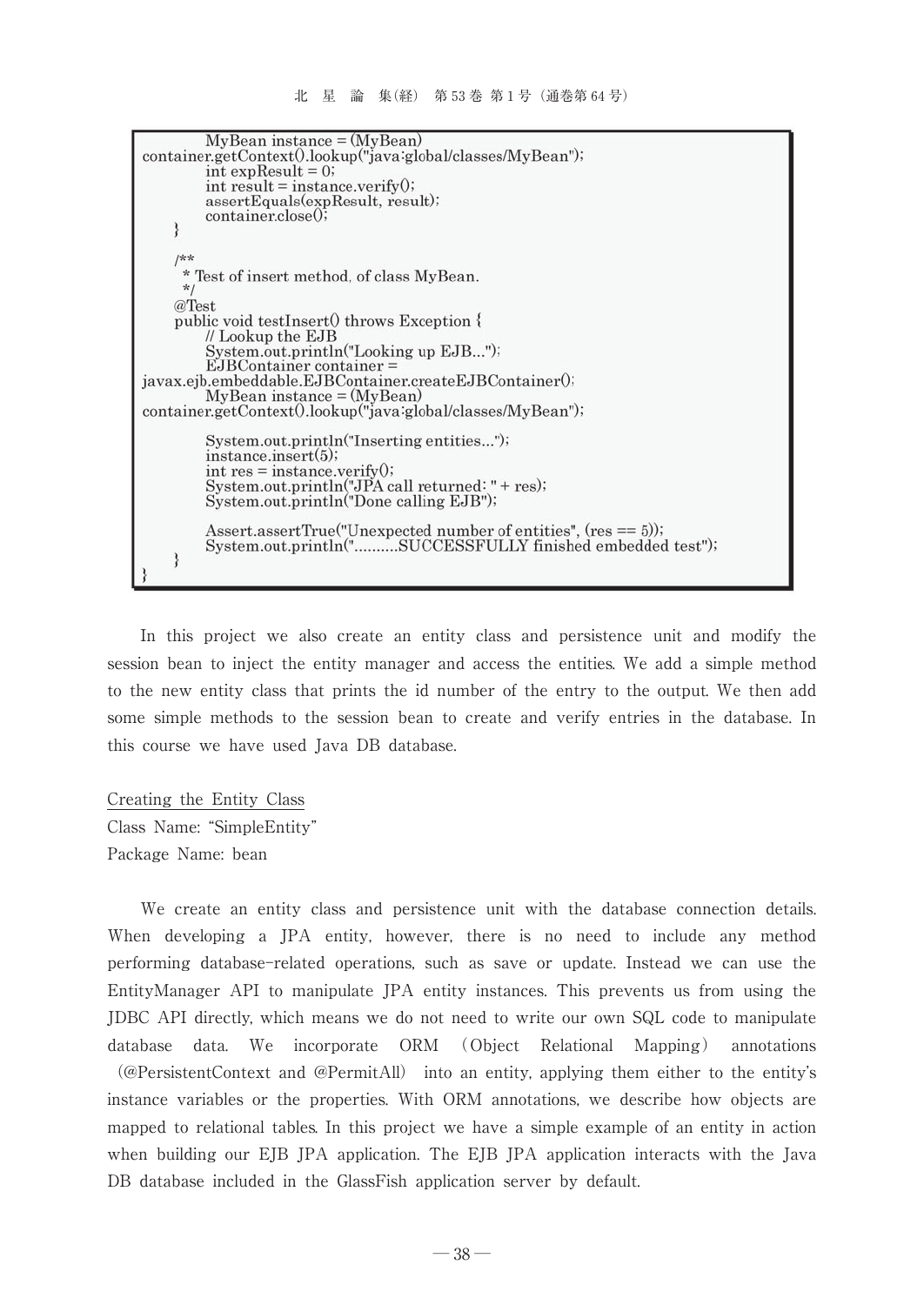```
MyBean instance = (MyBean)container.getContext0.lookup("java:global/classes/MyBean");
         int expResult = 0;
         \text{int} result = instance.verify\theta;
         assertEquals(expResult, result);
         container.close();
    /** Test of insert method, of class MyBean.
     *@Test
    public void testInsert() throws Exception {
         // Lookup the EJB
         System.out.println("Looking up EJB...");
         EJBContainer container =
javax.ejb.embeddable.EJBContainer.createEJBContainer();
         MyBean instance = (MyBean)container.getContext0.lookup("java:global/classes/MyBean");
         System.out.println("Inserting entities...");
         instance.insert(5);
         int res = instance.verify();<br>System.out.println("JPA call returned: " + res);<br>System.out.println("Done calling EJB");
         Assert.assertTrue("Unexpected number of entities", (res == 5));
         System.out.println("..........SUCCESSFULLY finished embedded test");
    ł
```
In this project we also create an entity class and persistence unit and modify the session bean to inject the entity manager and access the entities. We add a simple method to the new entity class that prints the id number of the entry to the output. We then add some simple methods to the session bean to create and verify entries in the database. In this course we have used Java DB database.

Creating the Entity Class Class Name: "SimpleEntity" Package Name: bean

We create an entity class and persistence unit with the database connection details. When developing a JPA entity, however, there is no need to include any method performing database-related operations, such as save or update. Instead we can use the EntityManager API to manipulate JPA entity instances. This prevents us from using the JDBC API directly, which means we do not need to write our own SQL code to manipulate database data. We incorporate ORM (Object Relational Mapping) annotations (@PersistentContext and @PermitAll) into an entity, applying them either to the entitys instance variables or the properties. With ORM annotations, we describe how objects are mapped to relational tables. In this project we have a simple example of an entity in action when building our EJB JPA application. The EJB JPA application interacts with the Java DB database included in the GlassFish application server by default.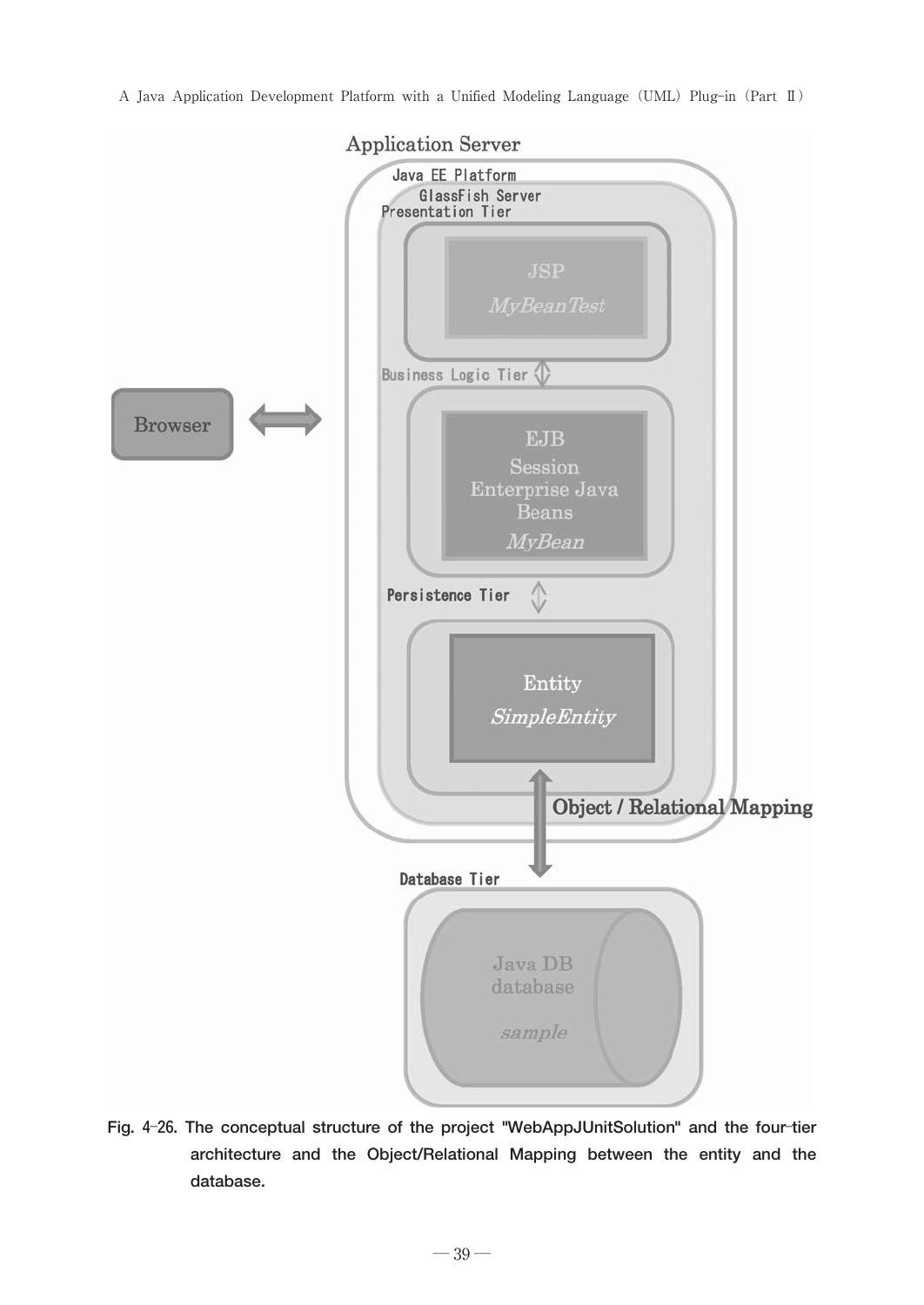

**Fig. 4**-**26. The conceptual structure of the project "WebAppJUnitSolution" and the four**-**tier architecture and the Object/Relational Mapping between the entity and the database.**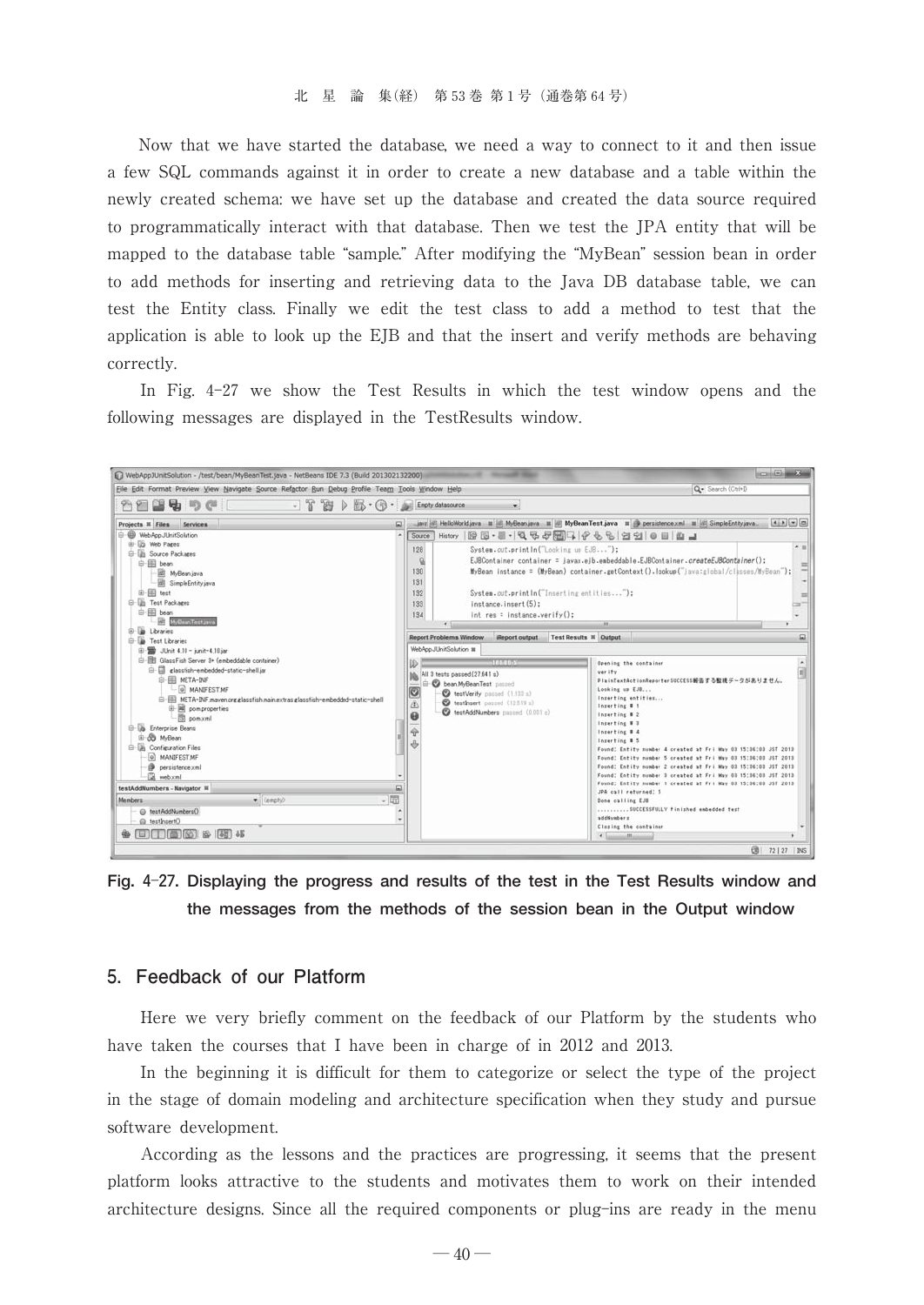Now that we have started the database, we need a way to connect to it and then issue a few SQL commands against it in order to create a new database and a table within the newly created schema: we have set up the database and created the data source required to programmatically interact with that database. Then we test the JPA entity that will be mapped to the database table "sample." After modifying the "MyBean" session bean in order to add methods for inserting and retrieving data to the Java DB database table, we can test the Entity class. Finally we edit the test class to add a method to test that the application is able to look up the EJB and that the insert and verify methods are behaving correctly.

In Fig. 4-27 we show the Test Results in which the test window opens and the following messages are displayed in the TestResults window.



**Fig. 4**-**27. Displaying the progress and results of the test in the Test Results window and the messages from the methods of the session bean in the Output window**

## -Feedback of our Platform

Here we very briefly comment on the feedback of our Platform by the students who have taken the courses that I have been in charge of in 2012 and 2013.

In the beginning it is difficult for them to categorize or select the type of the project in the stage of domain modeling and architecture specification when they study and pursue software development.

According as the lessons and the practices are progressing, it seems that the present platform looks attractive to the students and motivates them to work on their intended architecture designs. Since all the required components or plug-ins are ready in the menu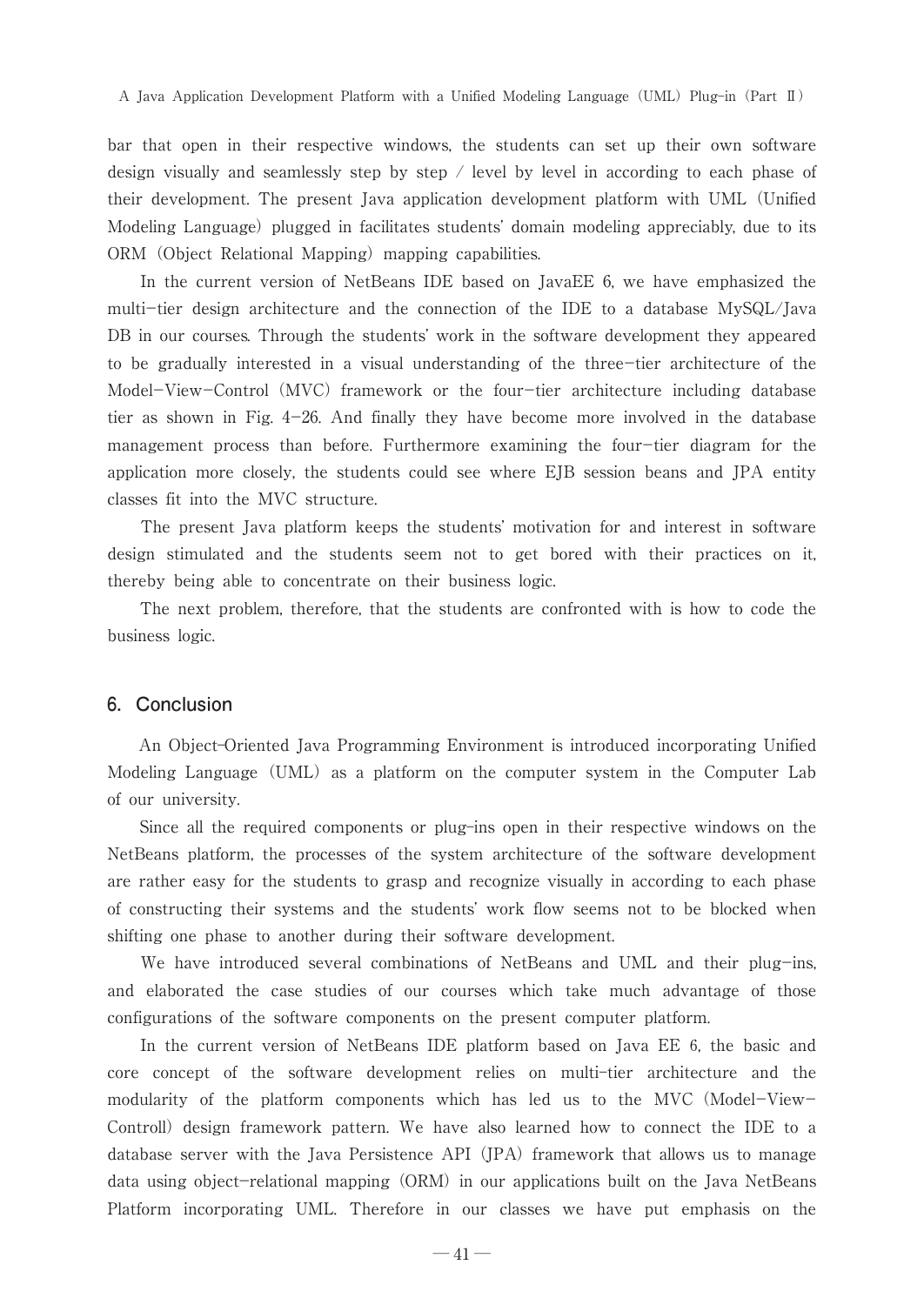bar that open in their respective windows, the students can set up their own software design visually and seamlessly step by step / level by level in according to each phase of their development. The present Java application development platform with UML(Unified Modeling Language) plugged in facilitates students' domain modeling appreciably, due to its ORM (Object Relational Mapping) mapping capabilities.

In the current version of NetBeans IDE based on JavaEE 6, we have emphasized the multi-tier design architecture and the connection of the IDE to a database MySQL/Java DB in our courses. Through the students' work in the software development they appeared to be gradually interested in a visual understanding of the three-tier architecture of the Model-View-Control (MVC) framework or the four-tier architecture including database tier as shown in Fig.  $4-26$ . And finally they have become more involved in the database management process than before. Furthermore examining the four-tier diagram for the application more closely, the students could see where EJB session beans and JPA entity classes fit into the MVC structure.

The present Java platform keeps the students' motivation for and interest in software design stimulated and the students seem not to get bored with their practices on it, thereby being able to concentrate on their business logic.

The next problem, therefore, that the students are confronted with is how to code the business logic.

### 6. Conclusion

An Object-Oriented Java Programming Environment is introduced incorporating Unified Modeling Language (UML) as a platform on the computer system in the Computer Lab of our university.

Since all the required components or plug-ins open in their respective windows on the NetBeans platform, the processes of the system architecture of the software development are rather easy for the students to grasp and recognize visually in according to each phase of constructing their systems and the students' work flow seems not to be blocked when shifting one phase to another during their software development.

We have introduced several combinations of NetBeans and UML and their plug-ins, and elaborated the case studies of our courses which take much advantage of those configurations of the software components on the present computer platform.

In the current version of NetBeans IDE platform based on Java EE 6, the basic and core concept of the software development relies on multi-tier architecture and the modularity of the platform components which has led us to the MVC (Model-View-Controll) design framework pattern. We have also learned how to connect the IDE to a database server with the Java Persistence API  $(IPA)$  framework that allows us to manage data using object-relational mapping (ORM) in our applications built on the Java NetBeans Platform incorporating UML. Therefore in our classes we have put emphasis on the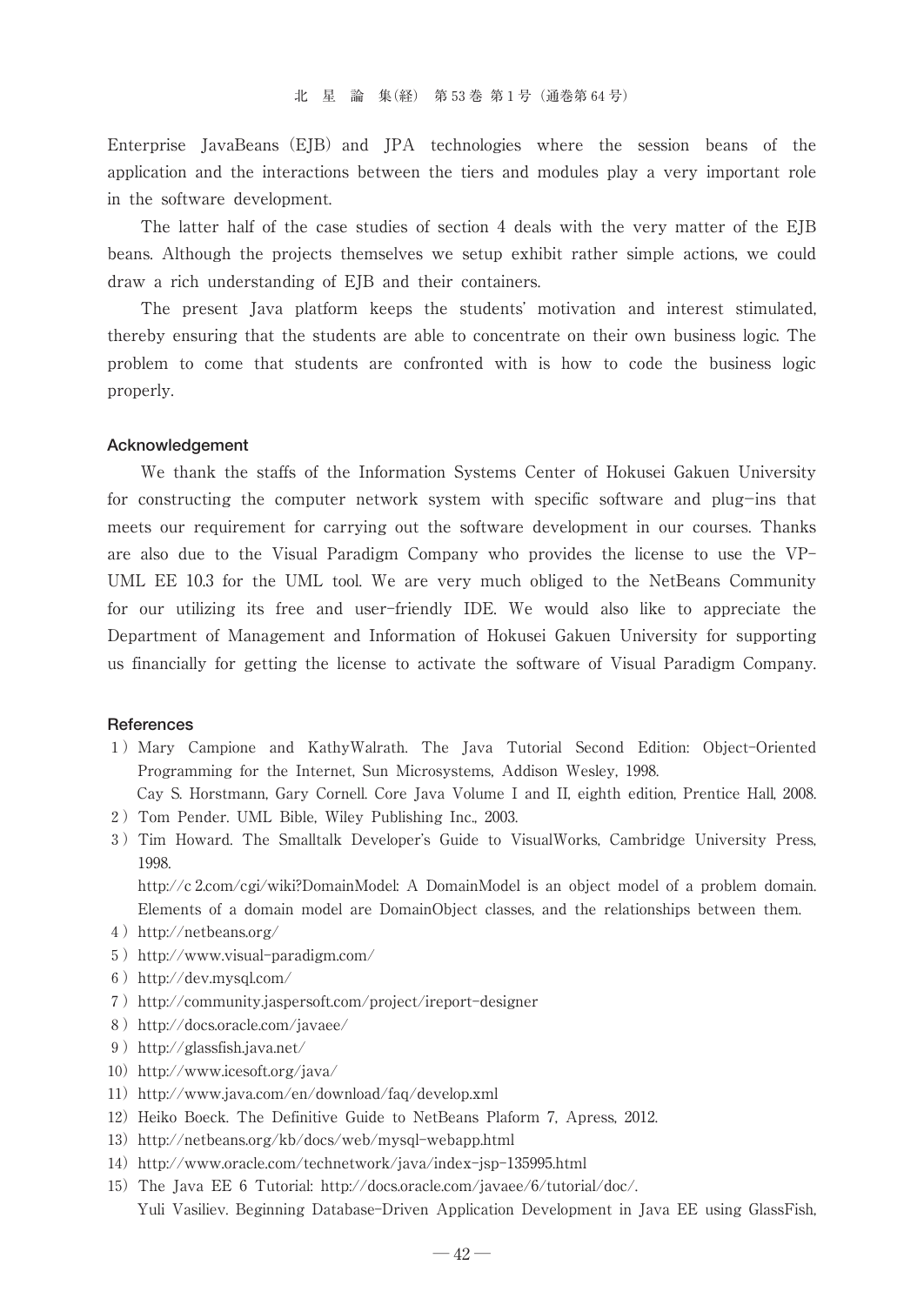Enterprise JavaBeans (EJB) and JPA technologies where the session beans of the application and the interactions between the tiers and modules play a very important role in the software development.

The latter half of the case studies of section 4 deals with the very matter of the EJB beans. Although the projects themselves we setup exhibit rather simple actions, we could draw a rich understanding of EJB and their containers.

The present Java platform keeps the students' motivation and interest stimulated, thereby ensuring that the students are able to concentrate on their own business logic. The problem to come that students are confronted with is how to code the business logic properly.

#### **Acknowledgement**

We thank the staffs of the Information Systems Center of Hokusei Gakuen University for constructing the computer network system with specific software and plug-ins that meets our requirement for carrying out the software development in our courses. Thanks are also due to the Visual Paradigm Company who provides the license to use the VP- UML EE 10.3 for the UML tool. We are very much obliged to the NetBeans Community for our utilizing its free and user-friendly IDE. We would also like to appreciate the Department of Management and Information of Hokusei Gakuen University for supporting us financially for getting the license to activate the software of Visual Paradigm Company.

#### **References**

1)Mary Campione and KathyWalrath. The Java Tutorial Second Edition: Object-Oriented Programming for the Internet, Sun Microsystems, Addison Wesley, 1998.

Cay S. Horstmann, Gary Cornell. Core Java Volume I and II, eighth edition, Prentice Hall, 2008. 2)Tom Pender. UML Bible, Wiley Publishing Inc., 2003.

3) Tim Howard. The Smalltalk Developer's Guide to VisualWorks, Cambridge University Press, 1998.

http://c 2.com/cgi/wiki?DomainModel: A DomainModel is an object model of a problem domain. Elements of a domain model are DomainObject classes, and the relationships between them.

- 4) http://netbeans.org/
- 5) http://www.visual-paradigm.com/
- 6)http://dev.mysql.com/
- 7) http://community.jaspersoft.com/project/ireport-designer
- 8) http://docs.oracle.com/javaee/
- 9)http://glassfish.java.net/
- 10) http://www.icesoft.org/java/
- 11) http://www.java.com/en/download/faq/develop.xml
- 12) Heiko Boeck. The Definitive Guide to NetBeans Plaform 7, Apress, 2012.
- 13) http://netbeans.org/kb/docs/web/mysql-webapp.html
- 14) http://www.oracle.com/technetwork/java/index-jsp-135995.html
- 15)The Java EE 6 Tutorial: http://docs.oracle.com/javaee/6/tutorial/doc/. Yuli Vasiliev. Beginning Database-Driven Application Development in Java EE using GlassFish,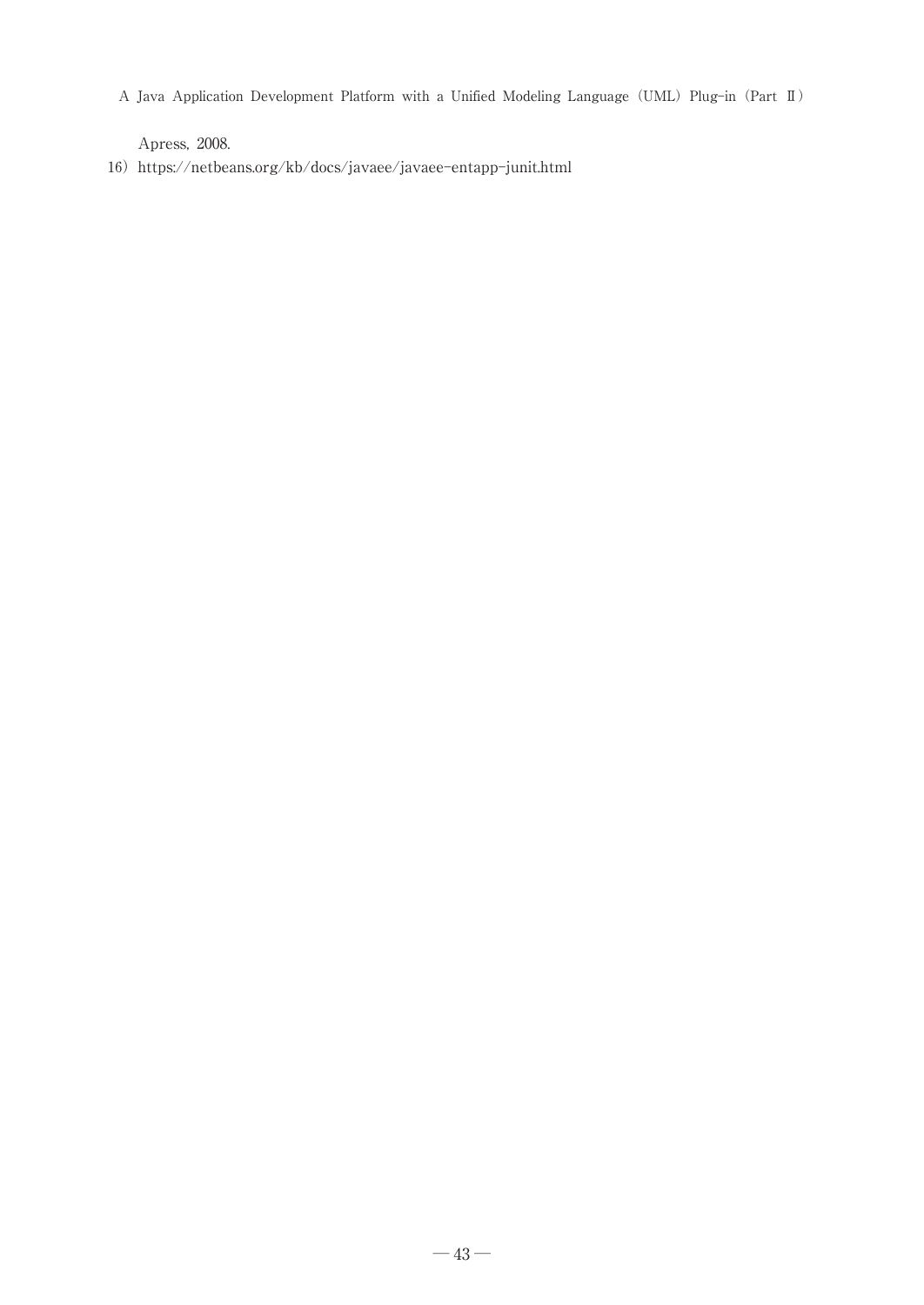Apress, 2008.

16) https://netbeans.org/kb/docs/javaee/javaee-entapp-junit.html